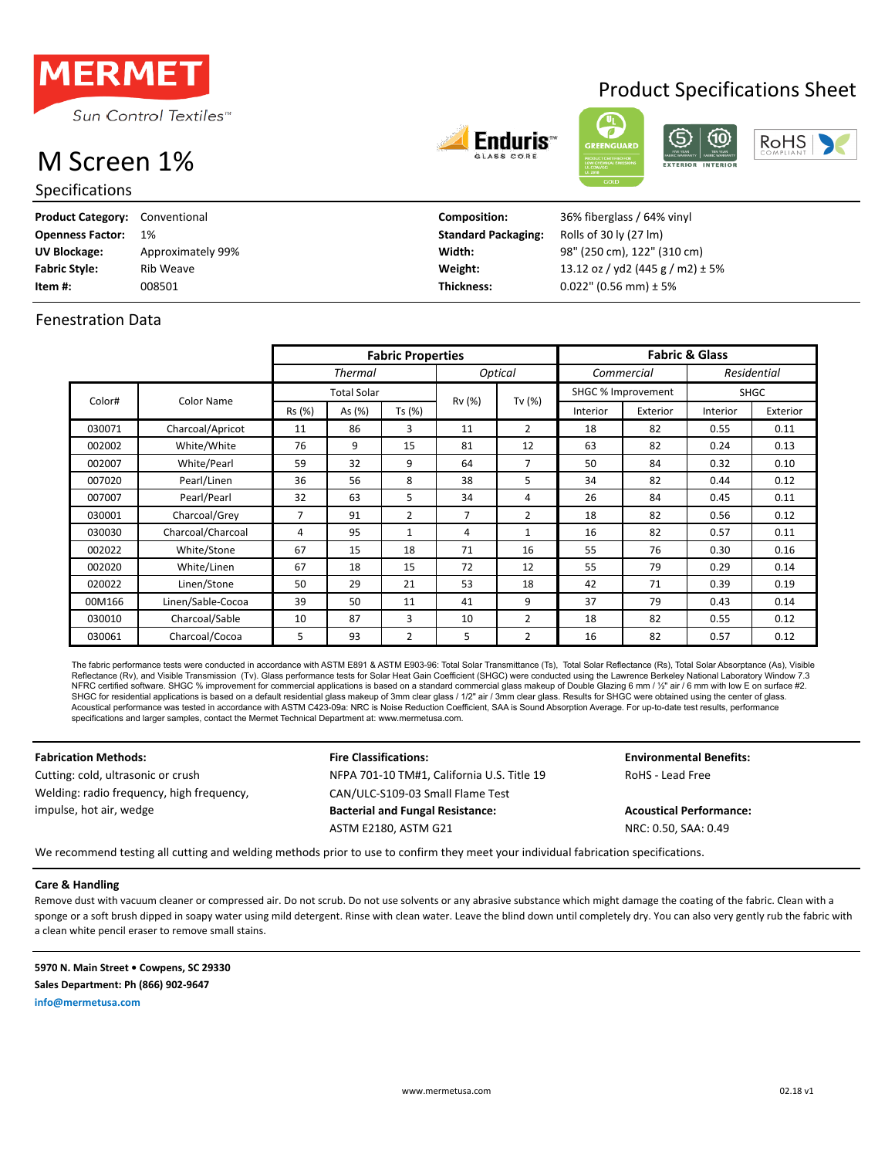

# M Screen 1%

Specifications

| Endurr<br>ıУ |  |
|--------------|--|
|              |  |



Product Specifications Sheet

| <b>Product Category: Conventional</b> |                   | Composition:               | 36% fiberglass / 64% vinyl           |
|---------------------------------------|-------------------|----------------------------|--------------------------------------|
| <b>Openness Factor:</b>               | 1%                | <b>Standard Packaging:</b> | Rolls of 30 ly (27 lm)               |
| UV Blockage:                          | Approximately 99% | Width:                     | 98" (250 cm), 122" (310 cm)          |
| <b>Fabric Style:</b>                  | Rib Weave         | Weight:                    | 13.12 oz / yd2 (445 g / m2) $\pm$ 5% |
| Item #:                               | 008501            | Thickness:                 | $0.022$ " (0.56 mm) ± 5%             |

### Fenestration Data

|        |                   | <b>Fabric Properties</b> |                    |                |                |                | <b>Fabric &amp; Glass</b> |          |          |             |
|--------|-------------------|--------------------------|--------------------|----------------|----------------|----------------|---------------------------|----------|----------|-------------|
|        |                   |                          | <b>Thermal</b>     |                |                | <b>Optical</b> | Commercial                |          |          | Residential |
|        |                   |                          | <b>Total Solar</b> |                |                |                | SHGC % Improvement        |          | SHGC     |             |
| Color# | Color Name        | Rs (%)                   | As (%)             | Ts (%)         | Rv (%)         | Tv $(%)$       | Interior                  | Exterior | Interior | Exterior    |
| 030071 | Charcoal/Apricot  | 11                       | 86                 | 3              | 11             | 2              | 18                        | 82       | 0.55     | 0.11        |
| 002002 | White/White       | 76                       | 9                  | 15             | 81             | 12             | 63                        | 82       | 0.24     | 0.13        |
| 002007 | White/Pearl       | 59                       | 32                 | 9              | 64             | 7              | 50                        | 84       | 0.32     | 0.10        |
| 007020 | Pearl/Linen       | 36                       | 56                 | 8              | 38             | 5              | 34                        | 82       | 0.44     | 0.12        |
| 007007 | Pearl/Pearl       | 32                       | 63                 | 5              | 34             | 4              | 26                        | 84       | 0.45     | 0.11        |
| 030001 | Charcoal/Grey     | $\overline{7}$           | 91                 | $\overline{2}$ | $\overline{7}$ | 2              | 18                        | 82       | 0.56     | 0.12        |
| 030030 | Charcoal/Charcoal | 4                        | 95                 | 1              | 4              | $\mathbf{1}$   | 16                        | 82       | 0.57     | 0.11        |
| 002022 | White/Stone       | 67                       | 15                 | 18             | 71             | 16             | 55                        | 76       | 0.30     | 0.16        |
| 002020 | White/Linen       | 67                       | 18                 | 15             | 72             | 12             | 55                        | 79       | 0.29     | 0.14        |
| 020022 | Linen/Stone       | 50                       | 29                 | 21             | 53             | 18             | 42                        | 71       | 0.39     | 0.19        |
| 00M166 | Linen/Sable-Cocoa | 39                       | 50                 | 11             | 41             | 9              | 37                        | 79       | 0.43     | 0.14        |
| 030010 | Charcoal/Sable    | 10                       | 87                 | 3              | 10             | 2              | 18                        | 82       | 0.55     | 0.12        |
| 030061 | Charcoal/Cocoa    | 5                        | 93                 | $\overline{2}$ | 5              | $\overline{2}$ | 16                        | 82       | 0.57     | 0.12        |

The fabric performance tests were conducted in accordance with ASTM E891 & ASTM E903-96: Total Solar Transmittance (Ts), Total Solar Reflectance (Rs), Total Solar Absorptance (As), Visible Reflectance (Rv), and Visible Transmission (Tv). Glass performance tests for Solar Heat Gain Coefficient (SHGC) were conducted using the Lawrence Berkeley National Laboratory Window 7.3 NFRC certified software. SHGC % improvement for commercial applications is based on a standard commercial glass makeup of Double Glazing 6 mm / ½" air / 6 mm with low E on surface #2. SHGC for residential applications is based on a default residential glass makeup of 3mm clear glass. / 1/2" air / 3mm clear glass. Results for SHGC were obtained using the center of glass.<br>Acoustical performance was tested specifications and larger samples, contact the Mermet Technical Department at: www.mermetusa.com.

**Fabrication Methods: Fire Classifications: Fire Classifications: Environmental Benefits:** Cutting: cold, ultrasonic or crush The MEPA 701-10 TM#1, California U.S. Title 19 ROHS - Lead Free CAN/ULC-S109-03 Small Flame Test **Bacterial and Fungal Resistance: Acoustical Performance:** ASTM E2180, ASTM G21 NRC: 0.50, SAA: 0.49 Welding: radio frequency, high frequency, impulse, hot air, wedge

We recommend testing all cutting and welding methods prior to use to confirm they meet your individual fabrication specifications.

**Care & Handling**

Remove dust with vacuum cleaner or compressed air. Do not scrub. Do not use solvents or any abrasive substance which might damage the coating of the fabric. Clean with a sponge or a soft brush dipped in soapy water using mild detergent. Rinse with clean water. Leave the blind down until completely dry. You can also very gently rub the fabric with a clean white pencil eraser to remove small stains.

**5970 N. Main Street • Cowpens, SC 29330 Sales Department: Ph (866) 902-9647 info@mermetusa.com**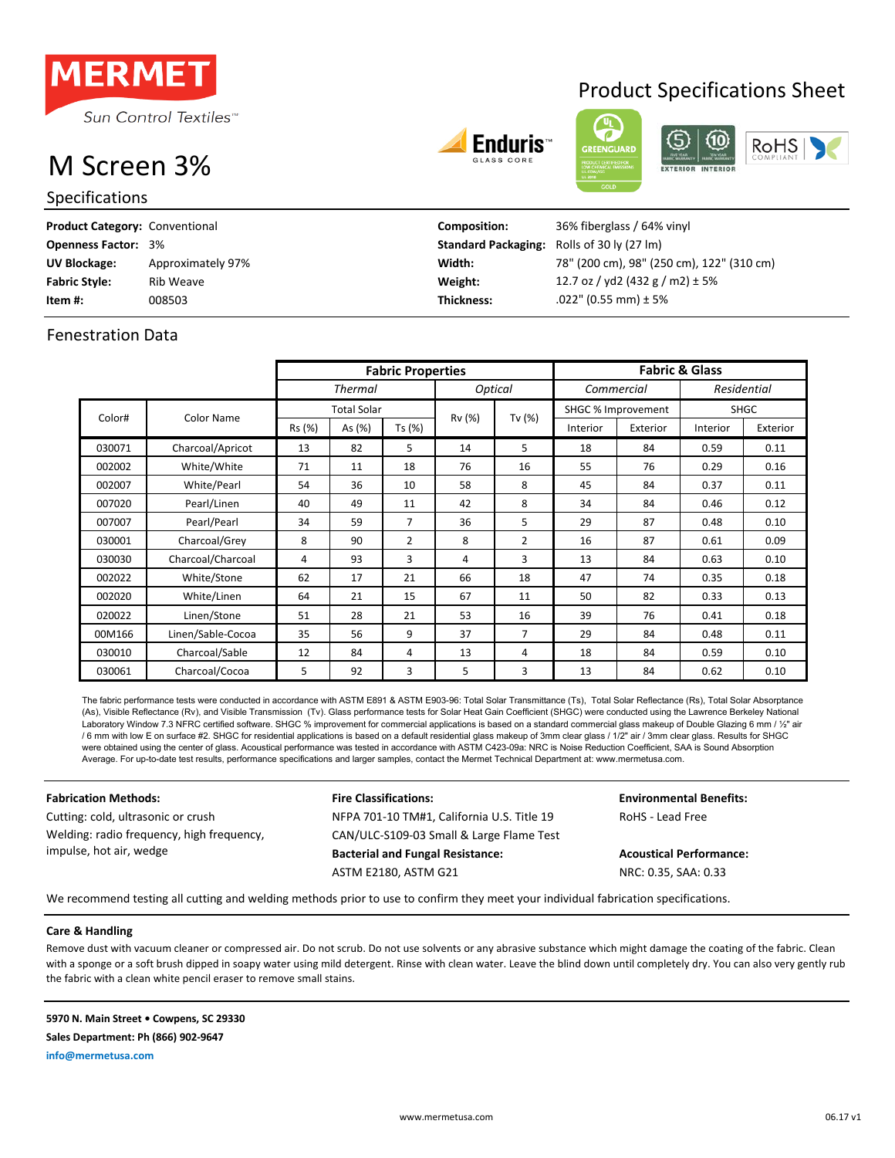

# M Screen 3%

Specifications

# Product Specifications Sheet







| <b>Product Category: Conventional</b> |                   | Composition:                                      | 36% fiberglass / 64% vinyl                |
|---------------------------------------|-------------------|---------------------------------------------------|-------------------------------------------|
| <b>Openness Factor: 3%</b>            |                   | <b>Standard Packaging:</b> Rolls of 30 ly (27 lm) |                                           |
| UV Blockage:                          | Approximately 97% | Width:                                            | 78" (200 cm), 98" (250 cm), 122" (310 cm) |
| <b>Fabric Style:</b>                  | Rib Weave         | Weight:                                           | 12.7 oz / yd2 (432 g / m2) $\pm$ 5%       |
| Item #:                               | 008503            | <b>Thickness:</b>                                 | $.022$ " (0.55 mm) ± 5%                   |

## Fenestration Data

|        |                   | <b>Fabric Properties</b>                |                    |                |        | <b>Fabric &amp; Glass</b> |                    |          |             |          |
|--------|-------------------|-----------------------------------------|--------------------|----------------|--------|---------------------------|--------------------|----------|-------------|----------|
|        |                   | Optical<br><b>Thermal</b><br>Commercial |                    |                |        | Residential               |                    |          |             |          |
| Color# |                   |                                         | <b>Total Solar</b> |                | Rv (%) |                           | SHGC % Improvement |          | <b>SHGC</b> |          |
|        | Color Name        | Rs (%)                                  | As $(\%)$          | Ts (%)         |        | Tv (%)                    | Interior           | Exterior | Interior    | Exterior |
| 030071 | Charcoal/Apricot  | 13                                      | 82                 | 5              | 14     | 5                         | 18                 | 84       | 0.59        | 0.11     |
| 002002 | White/White       | 71                                      | 11                 | 18             | 76     | 16                        | 55                 | 76       | 0.29        | 0.16     |
| 002007 | White/Pearl       | 54                                      | 36                 | 10             | 58     | 8                         | 45                 | 84       | 0.37        | 0.11     |
| 007020 | Pearl/Linen       | 40                                      | 49                 | 11             | 42     | 8                         | 34                 | 84       | 0.46        | 0.12     |
| 007007 | Pearl/Pearl       | 34                                      | 59                 | 7              | 36     | 5                         | 29                 | 87       | 0.48        | 0.10     |
| 030001 | Charcoal/Grey     | 8                                       | 90                 | $\overline{2}$ | 8      | $\overline{2}$            | 16                 | 87       | 0.61        | 0.09     |
| 030030 | Charcoal/Charcoal | 4                                       | 93                 | 3              | 4      | 3                         | 13                 | 84       | 0.63        | 0.10     |
| 002022 | White/Stone       | 62                                      | 17                 | 21             | 66     | 18                        | 47                 | 74       | 0.35        | 0.18     |
| 002020 | White/Linen       | 64                                      | 21                 | 15             | 67     | 11                        | 50                 | 82       | 0.33        | 0.13     |
| 020022 | Linen/Stone       | 51                                      | 28                 | 21             | 53     | 16                        | 39                 | 76       | 0.41        | 0.18     |
| 00M166 | Linen/Sable-Cocoa | 35                                      | 56                 | 9              | 37     | 7                         | 29                 | 84       | 0.48        | 0.11     |
| 030010 | Charcoal/Sable    | 12                                      | 84                 | 4              | 13     | 4                         | 18                 | 84       | 0.59        | 0.10     |
| 030061 | Charcoal/Cocoa    | 5                                       | 92                 | 3              | 5      | 3                         | 13                 | 84       | 0.62        | 0.10     |

The fabric performance tests were conducted in accordance with ASTM E891 & ASTM E903-96: Total Solar Transmittance (Ts), Total Solar Reflectance (Rs), Total Solar Absorptance (As), Visible Reflectance (Rv), and Visible Transmission (Tv). Glass performance tests for Solar Heat Gain Coefficient (SHGC) were conducted using the Lawrence Berkeley National Laboratory Window 7.3 NFRC certified software. SHGC % improvement for commercial applications is based on a standard commercial glass makeup of Double Glazing 6 mm / 1/2" air /6 mm with low E on surface #2. SHGC for residential applications is based on a default residential glass makeup of 3mm clear glass / 1/2" air / 3mm clear glass. Results for SHGC were obtained using the center of glass. Acoustical performance was tested in accordance with ASTM C423-09a: NRC is Noise Reduction Coefficient, SAA is Sound Absorption Average. For up-to-date test results, performance specifications and larger samples, contact the Mermet Technical Department at: www.mermetusa.com.

Welding: radio frequency, high frequency, impulse, hot air, wedge

### **Fabrication Methods: Fire Classifications: Environmental Benefits:** Cutting: cold, ultrasonic or crush The NFPA 701-10 TM#1, California U.S. Title 19 RoHS - Lead Free CAN/ULC-S109-03 Small & Large Flame Test **Bacterial and Fungal Resistance: Acoustical Performance:** ASTM E2180, ASTM G21 NRC: 0.35, SAA: 0.33

We recommend testing all cutting and welding methods prior to use to confirm they meet your individual fabrication specifications.

### **Care & Handling**

Remove dust with vacuum cleaner or compressed air. Do not scrub. Do not use solvents or any abrasive substance which might damage the coating of the fabric. Clean with a sponge or a soft brush dipped in soapy water using mild detergent. Rinse with clean water. Leave the blind down until completely dry. You can also very gently rub the fabric with a clean white pencil eraser to remove small stains.

**5970 N. Main Street • Cowpens, SC 29330**

**Sales Department: Ph (866) 902-9647**

**info@mermetusa.com**